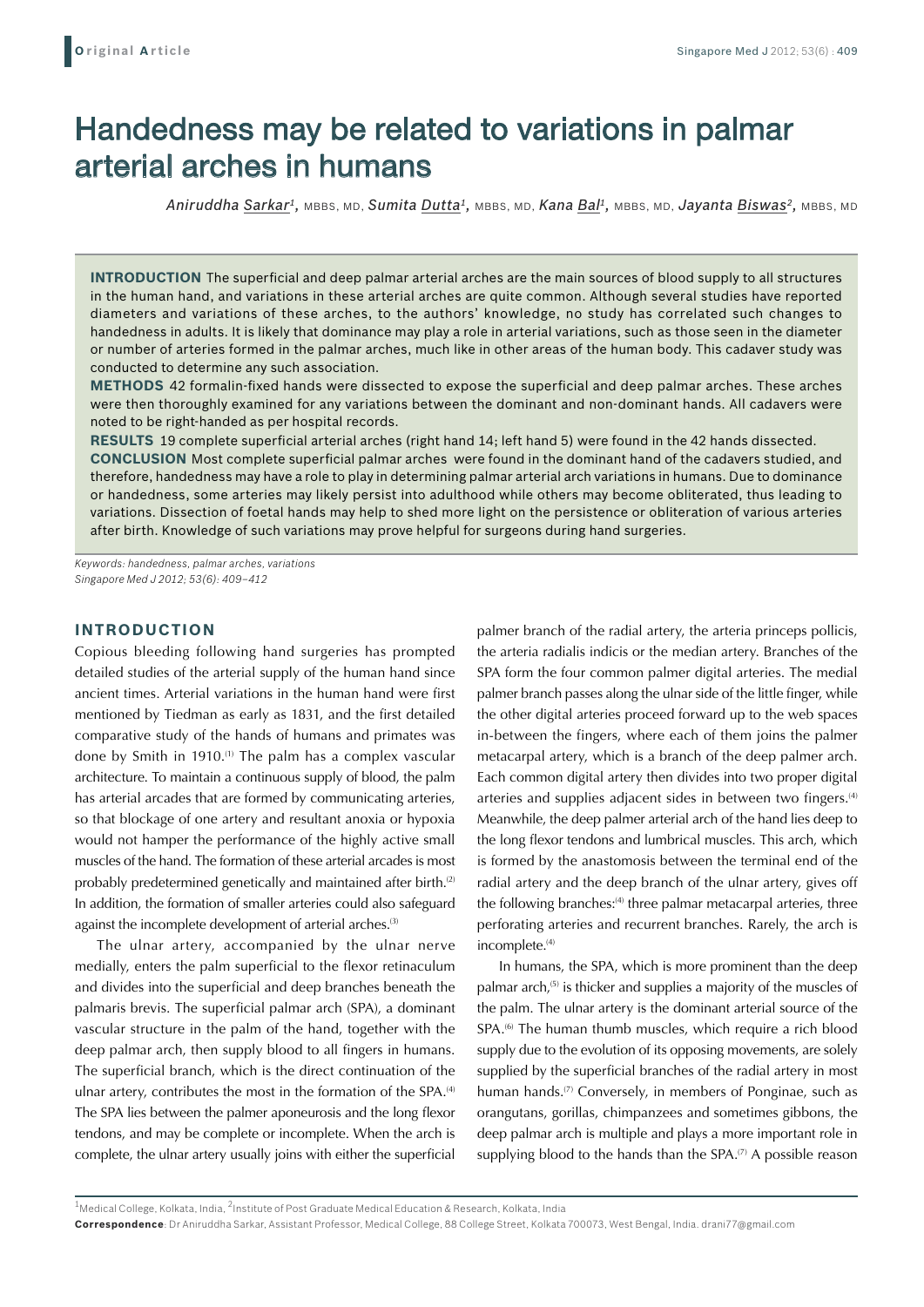# Handedness may be related to variations in palmar arterial arches in humans

*Aniruddha Sarkar1,* MBBS, MD, *Sumita Dutta1,* MBBS, MD, *Kana Bal1,* MBBS, MD, *Jayanta Biswas2,* MBBS, MD

**Introduction** The superficial and deep palmar arterial arches are the main sources of blood supply to all structures in the human hand, and variations in these arterial arches are quite common. Although several studies have reported diameters and variations of these arches, to the authors' knowledge, no study has correlated such changes to handedness in adults. It is likely that dominance may play a role in arterial variations, such as those seen in the diameter or number of arteries formed in the palmar arches, much like in other areas of the human body. This cadaver study was conducted to determine any such association.

**Methods** 42 formalin-fixed hands were dissected to expose the superficial and deep palmar arches. These arches were then thoroughly examined for any variations between the dominant and non-dominant hands. All cadavers were noted to be right-handed as per hospital records.

**Results** 19 complete superficial arterial arches (right hand 14; left hand 5) were found in the 42 hands dissected. **Conclusion** Most complete superficial palmar arches were found in the dominant hand of the cadavers studied, and therefore, handedness may have a role to play in determining palmar arterial arch variations in humans. Due to dominance or handedness, some arteries may likely persist into adulthood while others may become obliterated, thus leading to variations. Dissection of foetal hands may help to shed more light on the persistence or obliteration of various arteries after birth. Knowledge of such variations may prove helpful for surgeons during hand surgeries.

*Keywords: handedness, palmar arches, variations Singapore Med J 2012; 53(6): 409–412*

## **INTRODUCTION**

Copious bleeding following hand surgeries has prompted detailed studies of the arterial supply of the human hand since ancient times. Arterial variations in the human hand were first mentioned by Tiedman as early as 1831, and the first detailed comparative study of the hands of humans and primates was done by Smith in 1910.<sup>(1)</sup> The palm has a complex vascular architecture. To maintain a continuous supply of blood, the palm has arterial arcades that are formed by communicating arteries, so that blockage of one artery and resultant anoxia or hypoxia would not hamper the performance of the highly active small muscles of the hand. The formation of these arterial arcades is most probably predetermined genetically and maintained after birth.<sup>(2)</sup> In addition, the formation of smaller arteries could also safeguard against the incomplete development of arterial arches.<sup>(3)</sup>

The ulnar artery, accompanied by the ulnar nerve medially, enters the palm superficial to the flexor retinaculum and divides into the superficial and deep branches beneath the palmaris brevis. The superficial palmar arch (SPA), a dominant vascular structure in the palm of the hand, together with the deep palmar arch, then supply blood to all fingers in humans. The superficial branch, which is the direct continuation of the ulnar artery, contributes the most in the formation of the SPA.<sup>(4)</sup> The SPA lies between the palmer aponeurosis and the long flexor tendons, and may be complete or incomplete. When the arch is complete, the ulnar artery usually joins with either the superficial

palmer branch of the radial artery, the arteria princeps pollicis, the arteria radialis indicis or the median artery. Branches of the SPA form the four common palmer digital arteries. The medial palmer branch passes along the ulnar side of the little finger, while the other digital arteries proceed forward up to the web spaces in-between the fingers, where each of them joins the palmer metacarpal artery, which is a branch of the deep palmer arch. Each common digital artery then divides into two proper digital arteries and supplies adjacent sides in between two fingers.<sup>(4)</sup> Meanwhile, the deep palmer arterial arch of the hand lies deep to the long flexor tendons and lumbrical muscles. This arch, which is formed by the anastomosis between the terminal end of the radial artery and the deep branch of the ulnar artery, gives off the following branches:<sup>(4)</sup> three palmar metacarpal arteries, three perforating arteries and recurrent branches. Rarely, the arch is incomplete.<sup>(4)</sup>

In humans, the SPA, which is more prominent than the deep palmar arch,<sup>(5)</sup> is thicker and supplies a majority of the muscles of the palm. The ulnar artery is the dominant arterial source of the SPA.<sup>(6)</sup> The human thumb muscles, which require a rich blood supply due to the evolution of its opposing movements, are solely supplied by the superficial branches of the radial artery in most human hands.<sup>(7)</sup> Conversely, in members of Ponginae, such as orangutans, gorillas, chimpanzees and sometimes gibbons, the deep palmar arch is multiple and plays a more important role in supplying blood to the hands than the SPA. $(7)$  A possible reason

 $1$ Medical College, Kolkata, India,  $2$ Institute of Post Graduate Medical Education & Research, Kolkata, India

**Correspondence**: Dr Aniruddha Sarkar, Assistant Professor, Medical College, 88 College Street, Kolkata 700073, West Bengal, India. drani77@gmail.com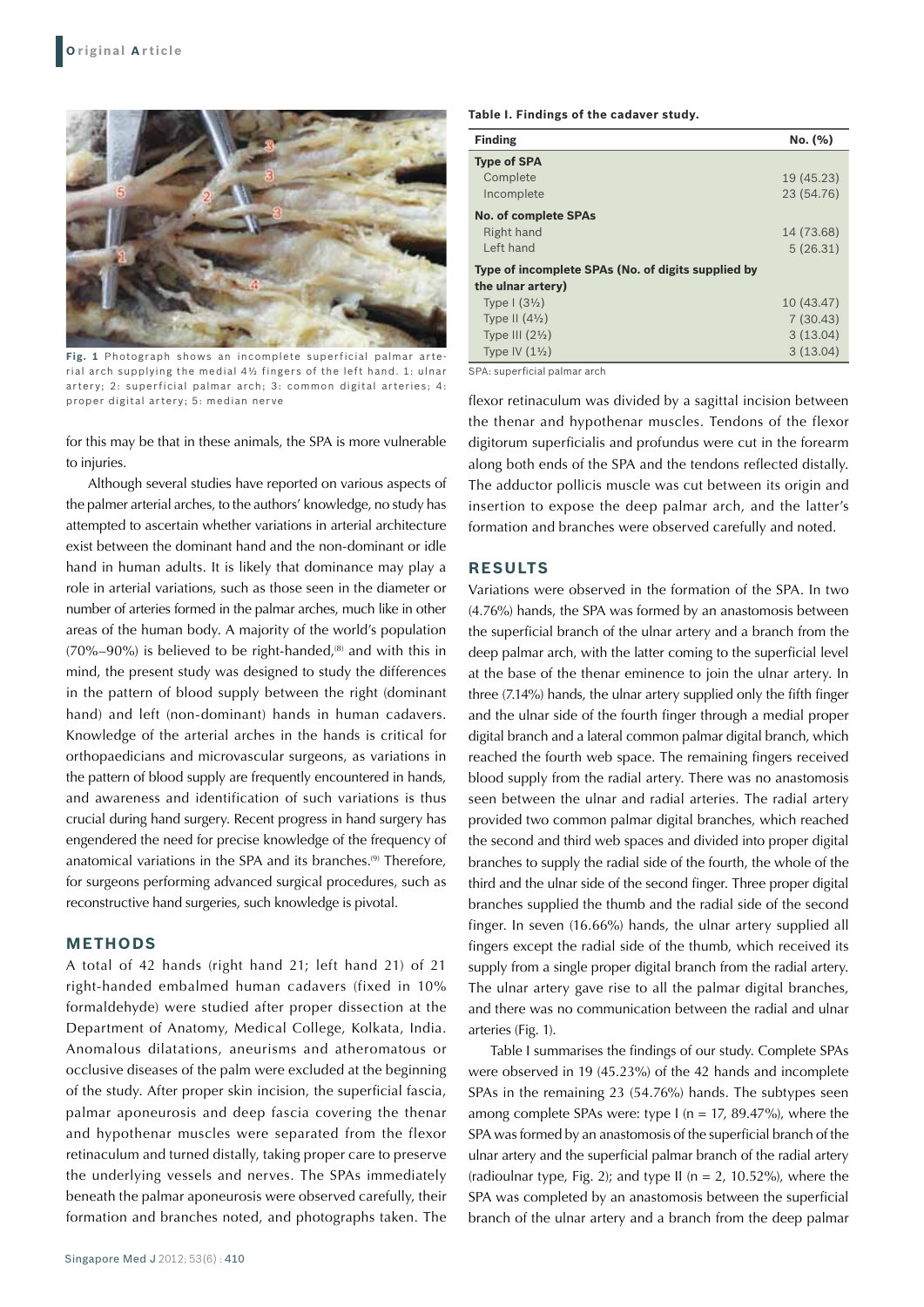

**Fig. 1** Photograph shows an incomplete superficial palmar arterial arch supplying the medial 4½ fingers of the left hand. 1: ulnar artery; 2: superficial palmar arch; 3: common digital arteries; 4: proper digital artery; 5: median nerve

for this may be that in these animals, the SPA is more vulnerable to injuries.

Although several studies have reported on various aspects of the palmer arterial arches, to the authors' knowledge, no study has attempted to ascertain whether variations in arterial architecture exist between the dominant hand and the non-dominant or idle hand in human adults. It is likely that dominance may play a role in arterial variations, such as those seen in the diameter or number of arteries formed in the palmar arches, much like in other areas of the human body. A majority of the world's population  $(70\% - 90\%)$  is believed to be right-handed,<sup>(8)</sup> and with this in mind, the present study was designed to study the differences in the pattern of blood supply between the right (dominant hand) and left (non-dominant) hands in human cadavers. Knowledge of the arterial arches in the hands is critical for orthopaedicians and microvascular surgeons, as variations in the pattern of blood supply are frequently encountered in hands, and awareness and identification of such variations is thus crucial during hand surgery. Recent progress in hand surgery has engendered the need for precise knowledge of the frequency of anatomical variations in the SPA and its branches.<sup>(9)</sup> Therefore, for surgeons performing advanced surgical procedures, such as reconstructive hand surgeries, such knowledge is pivotal.

## **METHODS**

A total of 42 hands (right hand 21; left hand 21) of 21 right-handed embalmed human cadavers (fixed in 10% formaldehyde) were studied after proper dissection at the Department of Anatomy, Medical College, Kolkata, India. Anomalous dilatations, aneurisms and atheromatous or occlusive diseases of the palm were excluded at the beginning of the study. After proper skin incision, the superficial fascia, palmar aponeurosis and deep fascia covering the thenar and hypothenar muscles were separated from the flexor retinaculum and turned distally, taking proper care to preserve the underlying vessels and nerves. The SPAs immediately beneath the palmar aponeurosis were observed carefully, their formation and branches noted, and photographs taken. The

**Table I. Findings of the cadaver study.** 

| <b>Finding</b>                                     | No. (%)    |
|----------------------------------------------------|------------|
| <b>Type of SPA</b>                                 |            |
| Complete                                           | 19 (45.23) |
| Incomplete                                         | 23 (54.76) |
| <b>No. of complete SPAs</b>                        |            |
| Right hand                                         | 14 (73.68) |
| Left hand                                          | 5(26.31)   |
| Type of incomplete SPAs (No. of digits supplied by |            |
| the ulnar artery)                                  |            |
| Type $\left(\frac{3\frac{1}{2}}{\right)$           | 10 (43.47) |
| Type II $(4\frac{1}{2})$                           | 7(30.43)   |
| Type III $(21/2)$                                  | 3(13.04)   |
| Type IV $(1\frac{1}{2})$                           | 3(13.04)   |

SPA: superficial palmar arch

flexor retinaculum was divided by a sagittal incision between the thenar and hypothenar muscles. Tendons of the flexor digitorum superficialis and profundus were cut in the forearm along both ends of the SPA and the tendons reflected distally. The adductor pollicis muscle was cut between its origin and insertion to expose the deep palmar arch, and the latter's formation and branches were observed carefully and noted.

#### **RESULTS**

Variations were observed in the formation of the SPA. In two (4.76%) hands, the SPA was formed by an anastomosis between the superficial branch of the ulnar artery and a branch from the deep palmar arch, with the latter coming to the superficial level at the base of the thenar eminence to join the ulnar artery. In three (7.14%) hands, the ulnar artery supplied only the fifth finger and the ulnar side of the fourth finger through a medial proper digital branch and a lateral common palmar digital branch, which reached the fourth web space. The remaining fingers received blood supply from the radial artery. There was no anastomosis seen between the ulnar and radial arteries. The radial artery provided two common palmar digital branches, which reached the second and third web spaces and divided into proper digital branches to supply the radial side of the fourth, the whole of the third and the ulnar side of the second finger. Three proper digital branches supplied the thumb and the radial side of the second finger. In seven (16.66%) hands, the ulnar artery supplied all fingers except the radial side of the thumb, which received its supply from a single proper digital branch from the radial artery. The ulnar artery gave rise to all the palmar digital branches, and there was no communication between the radial and ulnar arteries (Fig. 1).

Table I summarises the findings of our study. Complete SPAs were observed in 19 (45.23%) of the 42 hands and incomplete SPAs in the remaining 23 (54.76%) hands. The subtypes seen among complete SPAs were: type  $I$  (n = 17, 89.47%), where the SPA was formed by an anastomosis of the superficial branch of the ulnar artery and the superficial palmar branch of the radial artery (radioulnar type, Fig. 2); and type II ( $n = 2$ , 10.52%), where the SPA was completed by an anastomosis between the superficial branch of the ulnar artery and a branch from the deep palmar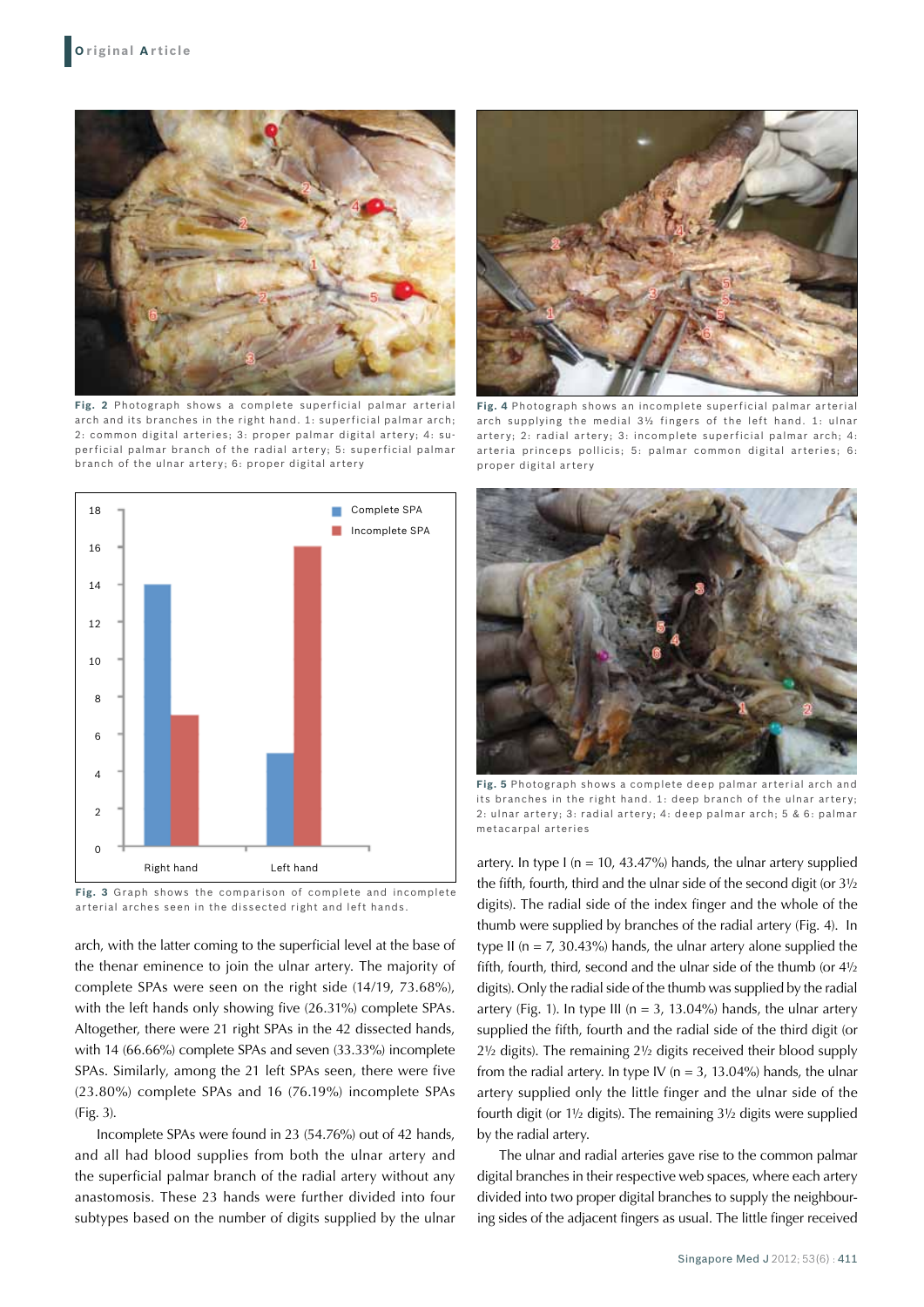

**Fig. 2** Photograph shows a complete superficial palmar arterial arch and its branches in the right hand. 1: superficial palmar arch; 2: common digital arteries; 3: proper palmar digital artery; 4: superficial palmar branch of the radial artery; 5: superficial palmar branch of the ulnar artery; 6: proper digital artery



**Fig. 3** Graph shows the comparison of complete and incomplete arterial arches seen in the dissected right and left hands.

arch, with the latter coming to the superficial level at the base of the thenar eminence to join the ulnar artery. The majority of complete SPAs were seen on the right side (14/19, 73.68%), with the left hands only showing five (26.31%) complete SPAs. Altogether, there were 21 right SPAs in the 42 dissected hands, with 14 (66.66%) complete SPAs and seven (33.33%) incomplete SPAs. Similarly, among the 21 left SPAs seen, there were five (23.80%) complete SPAs and 16 (76.19%) incomplete SPAs (Fig. 3).

Incomplete SPAs were found in 23 (54.76%) out of 42 hands, and all had blood supplies from both the ulnar artery and the superficial palmar branch of the radial artery without any anastomosis. These 23 hands were further divided into four subtypes based on the number of digits supplied by the ulnar



**Fig. 4** Photograph shows an incomplete superficial palmar arterial arch supplying the medial 3½ fingers of the left hand. 1: ulnar artery; 2: radial artery; 3: incomplete superficial palmar arch; 4: arteria princeps pollicis; 5: palmar common digital arteries; 6: proper digital artery



**Fig. 5** Photograph shows a complete deep palmar arterial arch and its branches in the right hand. 1: deep branch of the ulnar artery; 2: ulnar artery; 3: radial artery; 4: deep palmar arch; 5 & 6: palmar metacarpal arteries

artery. In type I ( $n = 10$ , 43.47%) hands, the ulnar artery supplied the fifth, fourth, third and the ulnar side of the second digit (or 3½ digits). The radial side of the index finger and the whole of the thumb were supplied by branches of the radial artery (Fig. 4). In type II ( $n = 7$ , 30.43%) hands, the ulnar artery alone supplied the fifth, fourth, third, second and the ulnar side of the thumb (or 4½ digits). Only the radial side of the thumb was supplied by the radial artery (Fig. 1). In type III ( $n = 3$ , 13.04%) hands, the ulnar artery supplied the fifth, fourth and the radial side of the third digit (or 2½ digits). The remaining 2½ digits received their blood supply from the radial artery. In type IV ( $n = 3$ , 13.04%) hands, the ulnar artery supplied only the little finger and the ulnar side of the fourth digit (or 1½ digits). The remaining 3½ digits were supplied by the radial artery.

The ulnar and radial arteries gave rise to the common palmar digital branches in their respective web spaces, where each artery divided into two proper digital branches to supply the neighbouring sides of the adjacent fingers as usual. The little finger received